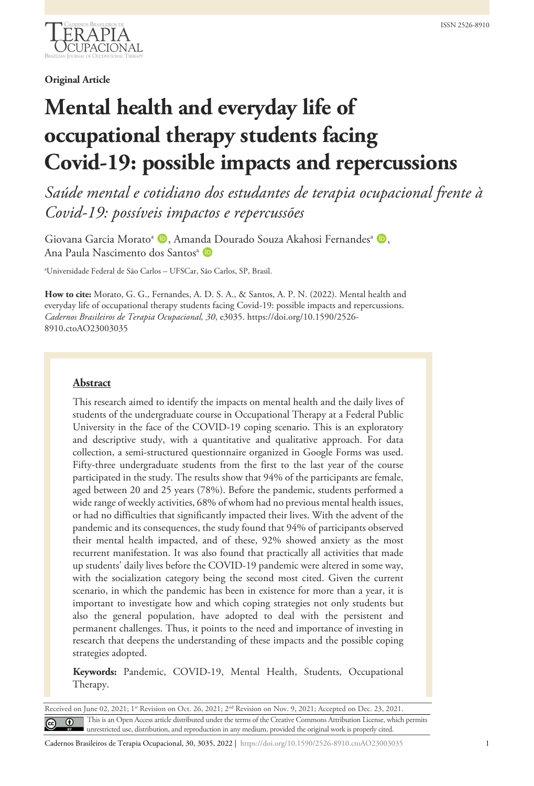

**Original Article**

# **Mental health and everyday life of occupational therapy students facing Covid-19: possible impacts and repercussions**

*Saúde mental e cotidiano dos estudantes de terapia ocupacional frente à Covid-19: possíveis impactos e repercussões*

Giovana Garcia Morato<sup>a</sup> D, Amanda Dourado Souza Akahosi Fernandes<sup>a</sup> D, Ana Paula Nascimento dos Santos<sup>a</sup> D

a Universidade Federal de São Carlos – UFSCar, São Carlos, SP, Brasil.

**How to cite:** Morato, G. G., Fernandes, A. D. S. A., & Santos, A. P. N. (2022). Mental health and everyday life of occupational therapy students facing Covid-19: possible impacts and repercussions. *Cadernos Brasileiros de Terapia Ocupacional, 30*, e3035. https://doi.org/10.1590/2526- 8910.ctoAO23003035

## **Abstract**

This research aimed to identify the impacts on mental health and the daily lives of students of the undergraduate course in Occupational Therapy at a Federal Public University in the face of the COVID-19 coping scenario. This is an exploratory and descriptive study, with a quantitative and qualitative approach. For data collection, a semi-structured questionnaire organized in Google Forms was used. Fifty-three undergraduate students from the first to the last year of the course participated in the study. The results show that 94% of the participants are female, aged between 20 and 25 years (78%). Before the pandemic, students performed a wide range of weekly activities, 68% of whom had no previous mental health issues, or had no difficulties that significantly impacted their lives. With the advent of the pandemic and its consequences, the study found that 94% of participants observed their mental health impacted, and of these, 92% showed anxiety as the most recurrent manifestation. It was also found that practically all activities that made up students' daily lives before the COVID-19 pandemic were altered in some way, with the socialization category being the second most cited. Given the current scenario, in which the pandemic has been in existence for more than a year, it is important to investigate how and which coping strategies not only students but also the general population, have adopted to deal with the persistent and permanent challenges. Thus, it points to the need and importance of investing in research that deepens the understanding of these impacts and the possible coping strategies adopted.

**Keywords:** Pandemic, COVID-19, Mental Health, Students, Occupational Therapy.

Received on June 02, 2021; 1st Revision on Oct. 26, 2021; 2<sup>nd</sup> Revision on Nov. 9, 2021; Accepted on Dec. 23, 2021. This is an Open Access article distributed under the terms of the Creative Commons Attribution License, which permits unrestricted use, distribution, and reproduction in any medium, provided the original work is properly cited.

Cadernos Brasileiros de Terapia Ocupacional, 30, 3035, 2022 | https://doi.org/10.1590/2526-8910.ctoAO23003035 1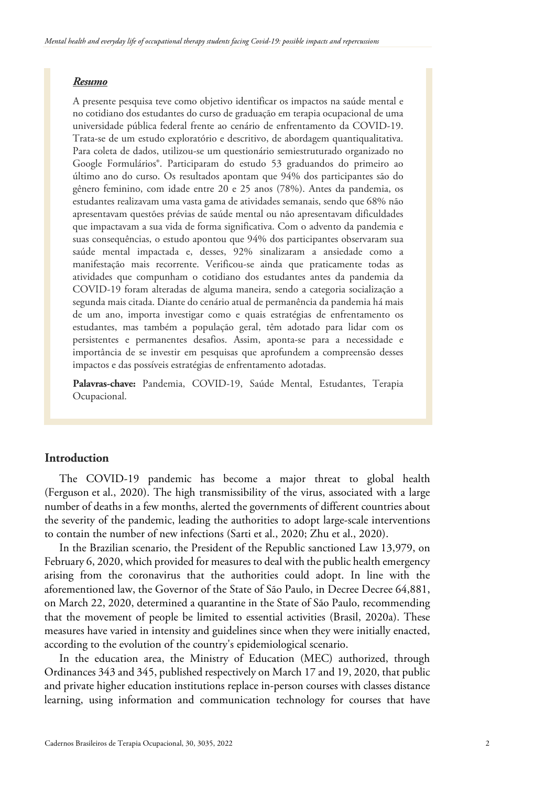## *Resumo*

A presente pesquisa teve como objetivo identificar os impactos na saúde mental e no cotidiano dos estudantes do curso de graduação em terapia ocupacional de uma universidade pública federal frente ao cenário de enfrentamento da COVID-19. Trata-se de um estudo exploratório e descritivo, de abordagem quantiqualitativa. Para coleta de dados, utilizou-se um questionário semiestruturado organizado no Google Formulários®. Participaram do estudo 53 graduandos do primeiro ao último ano do curso. Os resultados apontam que 94% dos participantes são do gênero feminino, com idade entre 20 e 25 anos (78%). Antes da pandemia, os estudantes realizavam uma vasta gama de atividades semanais, sendo que 68% não apresentavam questões prévias de saúde mental ou não apresentavam dificuldades que impactavam a sua vida de forma significativa. Com o advento da pandemia e suas consequências, o estudo apontou que 94% dos participantes observaram sua saúde mental impactada e, desses, 92% sinalizaram a ansiedade como a manifestação mais recorrente. Verificou-se ainda que praticamente todas as atividades que compunham o cotidiano dos estudantes antes da pandemia da COVID-19 foram alteradas de alguma maneira, sendo a categoria socialização a segunda mais citada. Diante do cenário atual de permanência da pandemia há mais de um ano, importa investigar como e quais estratégias de enfrentamento os estudantes, mas também a população geral, têm adotado para lidar com os persistentes e permanentes desafios. Assim, aponta-se para a necessidade e importância de se investir em pesquisas que aprofundem a compreensão desses impactos e das possíveis estratégias de enfrentamento adotadas.

**Palavras-chave:** Pandemia, COVID-19, Saúde Mental, Estudantes, Terapia Ocupacional.

# **Introduction**

The COVID-19 pandemic has become a major threat to global health (Ferguson et al., 2020). The high transmissibility of the virus, associated with a large number of deaths in a few months, alerted the governments of different countries about the severity of the pandemic, leading the authorities to adopt large-scale interventions to contain the number of new infections (Sarti et al., 2020; Zhu et al., 2020).

In the Brazilian scenario, the President of the Republic sanctioned Law 13,979, on February 6, 2020, which provided for measures to deal with the public health emergency arising from the coronavirus that the authorities could adopt. In line with the aforementioned law, the Governor of the State of São Paulo, in Decree Decree 64,881, on March 22, 2020, determined a quarantine in the State of São Paulo, recommending that the movement of people be limited to essential activities (Brasil, 2020a). These measures have varied in intensity and guidelines since when they were initially enacted, according to the evolution of the country's epidemiological scenario.

In the education area, the Ministry of Education (MEC) authorized, through Ordinances 343 and 345, published respectively on March 17 and 19, 2020, that public and private higher education institutions replace in-person courses with classes distance learning, using information and communication technology for courses that have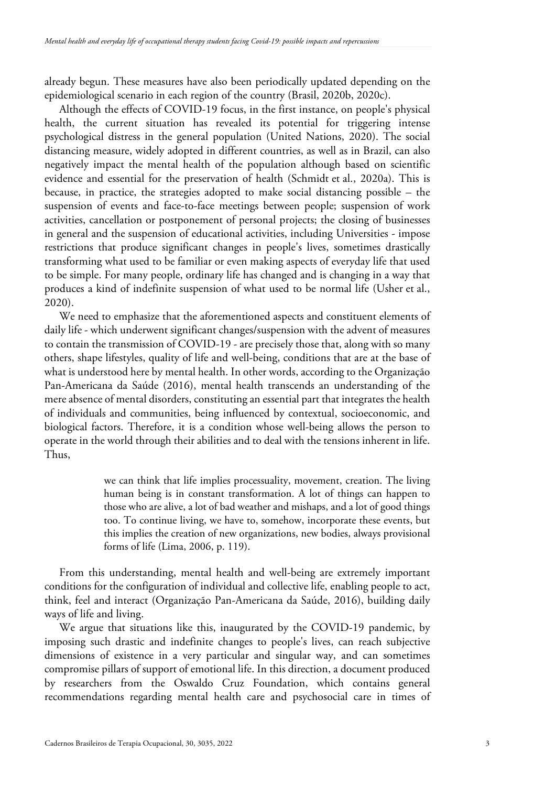already begun. These measures have also been periodically updated depending on the epidemiological scenario in each region of the country (Brasil, 2020b, 2020c).

Although the effects of COVID-19 focus, in the first instance, on people's physical health, the current situation has revealed its potential for triggering intense psychological distress in the general population (United Nations, 2020). The social distancing measure, widely adopted in different countries, as well as in Brazil, can also negatively impact the mental health of the population although based on scientific evidence and essential for the preservation of health (Schmidt et al., 2020a). This is because, in practice, the strategies adopted to make social distancing possible – the suspension of events and face-to-face meetings between people; suspension of work activities, cancellation or postponement of personal projects; the closing of businesses in general and the suspension of educational activities, including Universities - impose restrictions that produce significant changes in people's lives, sometimes drastically transforming what used to be familiar or even making aspects of everyday life that used to be simple. For many people, ordinary life has changed and is changing in a way that produces a kind of indefinite suspension of what used to be normal life (Usher et al., 2020).

We need to emphasize that the aforementioned aspects and constituent elements of daily life - which underwent significant changes/suspension with the advent of measures to contain the transmission of COVID-19 - are precisely those that, along with so many others, shape lifestyles, quality of life and well-being, conditions that are at the base of what is understood here by mental health. In other words, according to the Organização Pan-Americana da Saúde (2016), mental health transcends an understanding of the mere absence of mental disorders, constituting an essential part that integrates the health of individuals and communities, being influenced by contextual, socioeconomic, and biological factors. Therefore, it is a condition whose well-being allows the person to operate in the world through their abilities and to deal with the tensions inherent in life. Thus,

> we can think that life implies processuality, movement, creation. The living human being is in constant transformation. A lot of things can happen to those who are alive, a lot of bad weather and mishaps, and a lot of good things too. To continue living, we have to, somehow, incorporate these events, but this implies the creation of new organizations, new bodies, always provisional forms of life (Lima, 2006, p. 119).

From this understanding, mental health and well-being are extremely important conditions for the configuration of individual and collective life, enabling people to act, think, feel and interact (Organização Pan-Americana da Saúde, 2016), building daily ways of life and living.

We argue that situations like this, inaugurated by the COVID-19 pandemic, by imposing such drastic and indefinite changes to people's lives, can reach subjective dimensions of existence in a very particular and singular way, and can sometimes compromise pillars of support of emotional life. In this direction, a document produced by researchers from the Oswaldo Cruz Foundation, which contains general recommendations regarding mental health care and psychosocial care in times of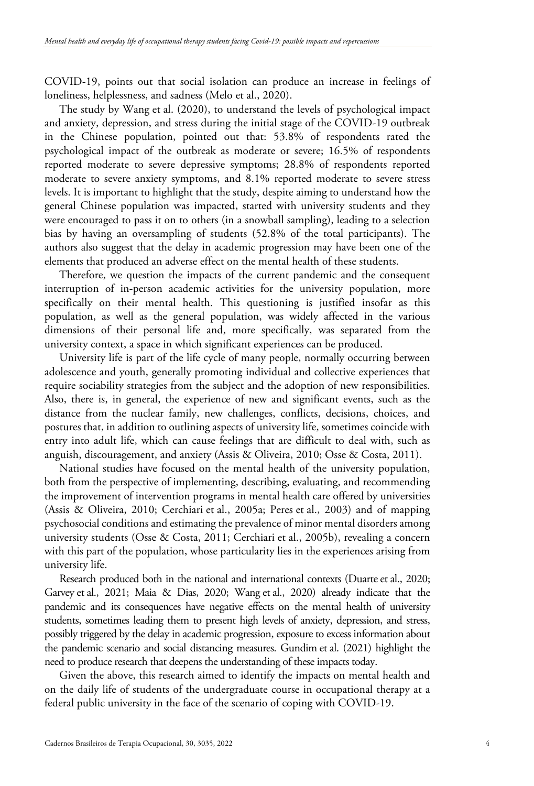COVID-19, points out that social isolation can produce an increase in feelings of loneliness, helplessness, and sadness (Melo et al., 2020).

The study by Wang et al. (2020), to understand the levels of psychological impact and anxiety, depression, and stress during the initial stage of the COVID-19 outbreak in the Chinese population, pointed out that: 53.8% of respondents rated the psychological impact of the outbreak as moderate or severe; 16.5% of respondents reported moderate to severe depressive symptoms; 28.8% of respondents reported moderate to severe anxiety symptoms, and 8.1% reported moderate to severe stress levels. It is important to highlight that the study, despite aiming to understand how the general Chinese population was impacted, started with university students and they were encouraged to pass it on to others (in a snowball sampling), leading to a selection bias by having an oversampling of students (52.8% of the total participants). The authors also suggest that the delay in academic progression may have been one of the elements that produced an adverse effect on the mental health of these students.

Therefore, we question the impacts of the current pandemic and the consequent interruption of in-person academic activities for the university population, more specifically on their mental health. This questioning is justified insofar as this population, as well as the general population, was widely affected in the various dimensions of their personal life and, more specifically, was separated from the university context, a space in which significant experiences can be produced.

University life is part of the life cycle of many people, normally occurring between adolescence and youth, generally promoting individual and collective experiences that require sociability strategies from the subject and the adoption of new responsibilities. Also, there is, in general, the experience of new and significant events, such as the distance from the nuclear family, new challenges, conflicts, decisions, choices, and postures that, in addition to outlining aspects of university life, sometimes coincide with entry into adult life, which can cause feelings that are difficult to deal with, such as anguish, discouragement, and anxiety (Assis & Oliveira, 2010; Osse & Costa, 2011).

National studies have focused on the mental health of the university population, both from the perspective of implementing, describing, evaluating, and recommending the improvement of intervention programs in mental health care offered by universities (Assis & Oliveira, 2010; Cerchiari et al., 2005a; Peres et al., 2003) and of mapping psychosocial conditions and estimating the prevalence of minor mental disorders among university students (Osse & Costa, 2011; Cerchiari et al., 2005b), revealing a concern with this part of the population, whose particularity lies in the experiences arising from university life.

Research produced both in the national and international contexts (Duarte et al., 2020; Garvey et al., 2021; Maia & Dias, 2020; Wang et al., 2020) already indicate that the pandemic and its consequences have negative effects on the mental health of university students, sometimes leading them to present high levels of anxiety, depression, and stress, possibly triggered by the delay in academic progression, exposure to excess information about the pandemic scenario and social distancing measures. Gundim et al. (2021) highlight the need to produce research that deepens the understanding of these impacts today.

Given the above, this research aimed to identify the impacts on mental health and on the daily life of students of the undergraduate course in occupational therapy at a federal public university in the face of the scenario of coping with COVID-19.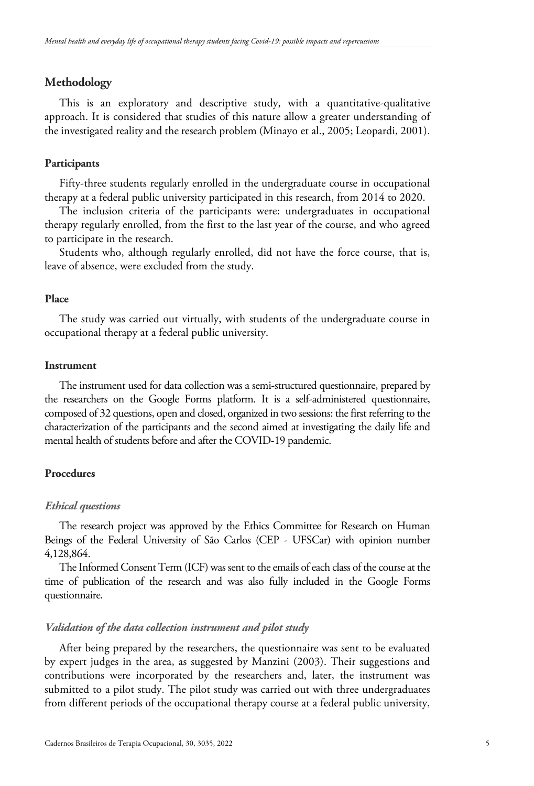## **Methodology**

This is an exploratory and descriptive study, with a quantitative-qualitative approach. It is considered that studies of this nature allow a greater understanding of the investigated reality and the research problem (Minayo et al., 2005; Leopardi, 2001).

## **Participants**

Fifty-three students regularly enrolled in the undergraduate course in occupational therapy at a federal public university participated in this research, from 2014 to 2020.

The inclusion criteria of the participants were: undergraduates in occupational therapy regularly enrolled, from the first to the last year of the course, and who agreed to participate in the research.

Students who, although regularly enrolled, did not have the force course, that is, leave of absence, were excluded from the study.

## **Place**

The study was carried out virtually, with students of the undergraduate course in occupational therapy at a federal public university.

## **Instrument**

The instrument used for data collection was a semi-structured questionnaire, prepared by the researchers on the Google Forms platform. It is a self-administered questionnaire, composed of 32 questions, open and closed, organized in two sessions: the first referring to the characterization of the participants and the second aimed at investigating the daily life and mental health of students before and after the COVID-19 pandemic.

## **Procedures**

## *Ethical questions*

The research project was approved by the Ethics Committee for Research on Human Beings of the Federal University of São Carlos (CEP - UFSCar) with opinion number 4,128,864.

The Informed Consent Term (ICF) was sent to the emails of each class of the course at the time of publication of the research and was also fully included in the Google Forms questionnaire.

## *Validation of the data collection instrument and pilot study*

After being prepared by the researchers, the questionnaire was sent to be evaluated by expert judges in the area, as suggested by Manzini (2003). Their suggestions and contributions were incorporated by the researchers and, later, the instrument was submitted to a pilot study. The pilot study was carried out with three undergraduates from different periods of the occupational therapy course at a federal public university,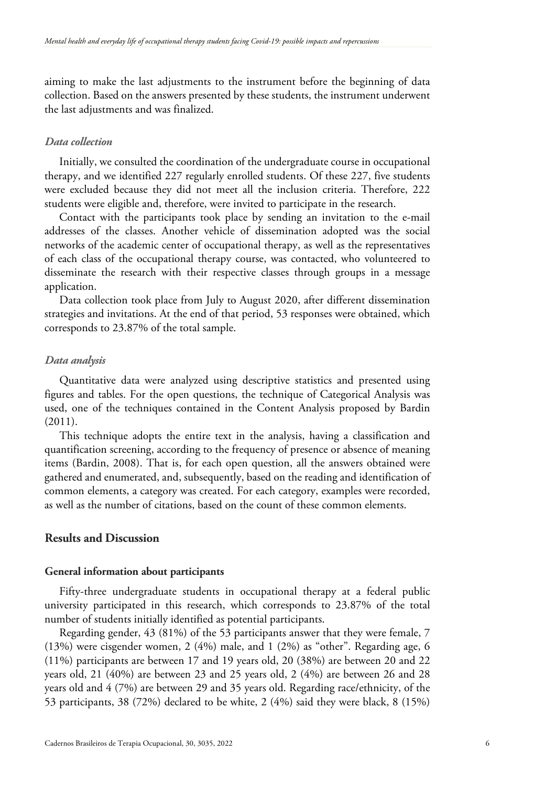aiming to make the last adjustments to the instrument before the beginning of data collection. Based on the answers presented by these students, the instrument underwent the last adjustments and was finalized.

## *Data collection*

Initially, we consulted the coordination of the undergraduate course in occupational therapy, and we identified 227 regularly enrolled students. Of these 227, five students were excluded because they did not meet all the inclusion criteria. Therefore, 222 students were eligible and, therefore, were invited to participate in the research.

Contact with the participants took place by sending an invitation to the e-mail addresses of the classes. Another vehicle of dissemination adopted was the social networks of the academic center of occupational therapy, as well as the representatives of each class of the occupational therapy course, was contacted, who volunteered to disseminate the research with their respective classes through groups in a message application.

Data collection took place from July to August 2020, after different dissemination strategies and invitations. At the end of that period, 53 responses were obtained, which corresponds to 23.87% of the total sample.

## *Data analysis*

Quantitative data were analyzed using descriptive statistics and presented using figures and tables. For the open questions, the technique of Categorical Analysis was used, one of the techniques contained in the Content Analysis proposed by Bardin (2011).

This technique adopts the entire text in the analysis, having a classification and quantification screening, according to the frequency of presence or absence of meaning items (Bardin, 2008). That is, for each open question, all the answers obtained were gathered and enumerated, and, subsequently, based on the reading and identification of common elements, a category was created. For each category, examples were recorded, as well as the number of citations, based on the count of these common elements.

# **Results and Discussion**

## **General information about participants**

Fifty-three undergraduate students in occupational therapy at a federal public university participated in this research, which corresponds to 23.87% of the total number of students initially identified as potential participants.

Regarding gender, 43 (81%) of the 53 participants answer that they were female, 7 (13%) were cisgender women, 2 (4%) male, and 1 (2%) as "other". Regarding age, 6 (11%) participants are between 17 and 19 years old, 20 (38%) are between 20 and 22 years old, 21 (40%) are between 23 and 25 years old, 2 (4%) are between 26 and 28 years old and 4 (7%) are between 29 and 35 years old. Regarding race/ethnicity, of the 53 participants, 38 (72%) declared to be white, 2 (4%) said they were black, 8 (15%)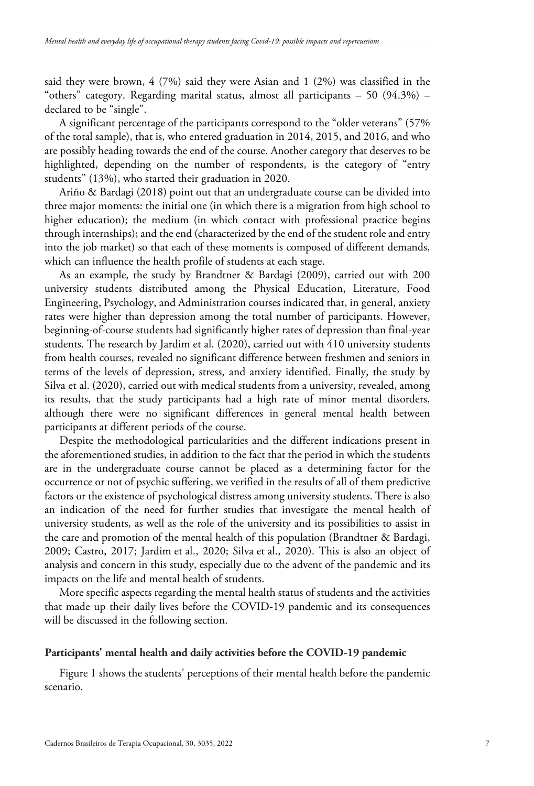said they were brown, 4 (7%) said they were Asian and 1 (2%) was classified in the "others" category. Regarding marital status, almost all participants  $-50$  (94.3%)  $$ declared to be "single".

A significant percentage of the participants correspond to the "older veterans" (57% of the total sample), that is, who entered graduation in 2014, 2015, and 2016, and who are possibly heading towards the end of the course. Another category that deserves to be highlighted, depending on the number of respondents, is the category of "entry students" (13%), who started their graduation in 2020.

Ariño & Bardagi (2018) point out that an undergraduate course can be divided into three major moments: the initial one (in which there is a migration from high school to higher education); the medium (in which contact with professional practice begins through internships); and the end (characterized by the end of the student role and entry into the job market) so that each of these moments is composed of different demands, which can influence the health profile of students at each stage.

As an example, the study by Brandtner & Bardagi (2009), carried out with 200 university students distributed among the Physical Education, Literature, Food Engineering, Psychology, and Administration courses indicated that, in general, anxiety rates were higher than depression among the total number of participants. However, beginning-of-course students had significantly higher rates of depression than final-year students. The research by Jardim et al. (2020), carried out with 410 university students from health courses, revealed no significant difference between freshmen and seniors in terms of the levels of depression, stress, and anxiety identified. Finally, the study by Silva et al. (2020), carried out with medical students from a university, revealed, among its results, that the study participants had a high rate of minor mental disorders, although there were no significant differences in general mental health between participants at different periods of the course.

Despite the methodological particularities and the different indications present in the aforementioned studies, in addition to the fact that the period in which the students are in the undergraduate course cannot be placed as a determining factor for the occurrence or not of psychic suffering, we verified in the results of all of them predictive factors or the existence of psychological distress among university students. There is also an indication of the need for further studies that investigate the mental health of university students, as well as the role of the university and its possibilities to assist in the care and promotion of the mental health of this population (Brandtner & Bardagi, 2009; Castro, 2017; Jardim et al., 2020; Silva et al., 2020). This is also an object of analysis and concern in this study, especially due to the advent of the pandemic and its impacts on the life and mental health of students.

More specific aspects regarding the mental health status of students and the activities that made up their daily lives before the COVID-19 pandemic and its consequences will be discussed in the following section.

## **Participants' mental health and daily activities before the COVID-19 pandemic**

Figure 1 shows the students' perceptions of their mental health before the pandemic scenario.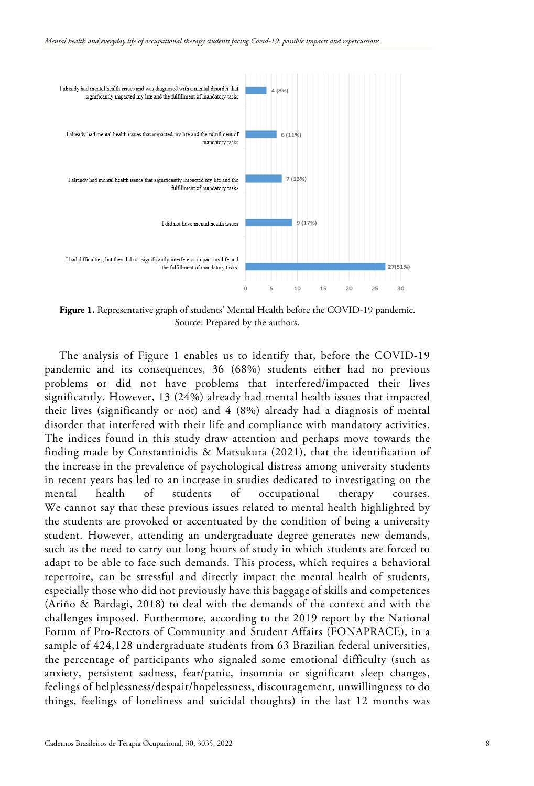

Figure 1. Representative graph of students' Mental Health before the COVID-19 pandemic. Source: Prepared by the authors.

The analysis of Figure 1 enables us to identify that, before the COVID-19 pandemic and its consequences, 36 (68%) students either had no previous problems or did not have problems that interfered/impacted their lives significantly. However, 13 (24%) already had mental health issues that impacted their lives (significantly or not) and 4 (8%) already had a diagnosis of mental disorder that interfered with their life and compliance with mandatory activities. The indices found in this study draw attention and perhaps move towards the finding made by Constantinidis & Matsukura (2021), that the identification of the increase in the prevalence of psychological distress among university students in recent years has led to an increase in studies dedicated to investigating on the mental health of students of occupational therapy courses. We cannot say that these previous issues related to mental health highlighted by the students are provoked or accentuated by the condition of being a university student. However, attending an undergraduate degree generates new demands, such as the need to carry out long hours of study in which students are forced to adapt to be able to face such demands. This process, which requires a behavioral repertoire, can be stressful and directly impact the mental health of students, especially those who did not previously have this baggage of skills and competences (Ariño & Bardagi, 2018) to deal with the demands of the context and with the challenges imposed. Furthermore, according to the 2019 report by the National Forum of Pro-Rectors of Community and Student Affairs (FONAPRACE), in a sample of 424,128 undergraduate students from 63 Brazilian federal universities, the percentage of participants who signaled some emotional difficulty (such as anxiety, persistent sadness, fear/panic, insomnia or significant sleep changes, feelings of helplessness/despair/hopelessness, discouragement, unwillingness to do things, feelings of loneliness and suicidal thoughts) in the last 12 months was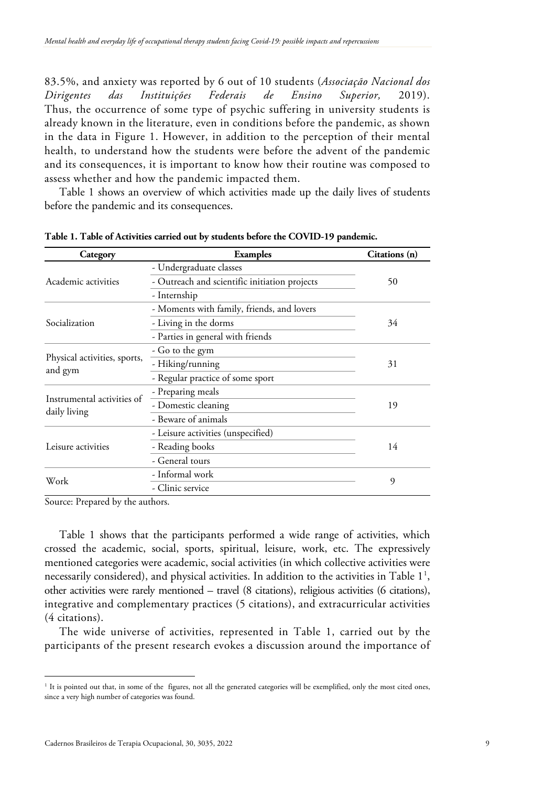83.5%, and anxiety was reported by 6 out of 10 students (*Associação Nacional dos Dirigentes das Instituições Federais de Ensino Superior,* 2019). Thus, the occurrence of some type of psychic suffering in university students is already known in the literature, even in conditions before the pandemic, as shown in the data in Figure 1. However, in addition to the perception of their mental health, to understand how the students were before the advent of the pandemic and its consequences, it is important to know how their routine was composed to assess whether and how the pandemic impacted them.

Table 1 shows an overview of which activities made up the daily lives of students before the pandemic and its consequences.

| Category                                   | <b>Examples</b>                               | Citations (n) |
|--------------------------------------------|-----------------------------------------------|---------------|
| Academic activities                        | - Undergraduate classes                       | 50            |
|                                            | - Outreach and scientific initiation projects |               |
|                                            | - Internship                                  |               |
| Socialization                              | - Moments with family, friends, and lovers    | 34            |
|                                            | - Living in the dorms                         |               |
|                                            | - Parties in general with friends             |               |
| Physical activities, sports,<br>and gym    | - Go to the gym                               | 31            |
|                                            | - Hiking/running                              |               |
|                                            | - Regular practice of some sport              |               |
| Instrumental activities of<br>daily living | - Preparing meals                             | 19            |
|                                            | - Domestic cleaning                           |               |
|                                            | - Beware of animals                           |               |
| Leisure activities                         | - Leisure activities (unspecified)            | 14            |
|                                            | - Reading books                               |               |
|                                            | - General tours                               |               |
| Work                                       | - Informal work                               | 9             |
|                                            | - Clinic service                              |               |

**Table 1. Table of Activities carried out by students before the COVID-19 pandemic.**

Source: Prepared by the authors.

Table 1 shows that the participants performed a wide range of activities, which crossed the academic, social, sports, spiritual, leisure, work, etc. The expressively mentioned categories were academic, social activities (in which collective activities were necessarily considered), and physical activities. In addition to the activities in Table  $1^1$  $1^1$ , other activities were rarely mentioned – travel (8 citations), religious activities (6 citations), integrative and complementary practices (5 citations), and extracurricular activities (4 citations).

The wide universe of activities, represented in Table 1, carried out by the participants of the present research evokes a discussion around the importance of

<sup>&</sup>lt;sup>1</sup> It is pointed out that, in some of the figures, not all the generated categories will be exemplified, only the most cited ones, since a very high number of categories was found.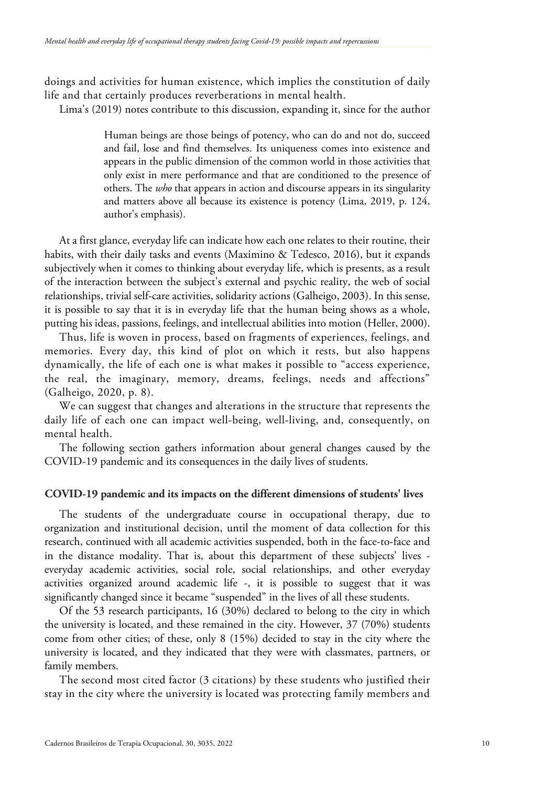doings and activities for human existence, which implies the constitution of daily life and that certainly produces reverberations in mental health.

Lima's (2019) notes contribute to this discussion, expanding it, since for the author

Human beings are those beings of potency, who can do and not do, succeed and fail, lose and find themselves. Its uniqueness comes into existence and appears in the public dimension of the common world in those activities that only exist in mere performance and that are conditioned to the presence of others. The *who* that appears in action and discourse appears in its singularity and matters above all because its existence is potency (Lima, 2019, p. 124, author's emphasis).

At a first glance, everyday life can indicate how each one relates to their routine, their habits, with their daily tasks and events (Maximino & Tedesco, 2016), but it expands subjectively when it comes to thinking about everyday life, which is presents, as a result of the interaction between the subject's external and psychic reality, the web of social relationships, trivial self-care activities, solidarity actions (Galheigo, 2003). In this sense, it is possible to say that it is in everyday life that the human being shows as a whole, putting his ideas, passions, feelings, and intellectual abilities into motion (Heller, 2000).

Thus, life is woven in process, based on fragments of experiences, feelings, and memories. Every day, this kind of plot on which it rests, but also happens dynamically, the life of each one is what makes it possible to "access experience, the real, the imaginary, memory, dreams, feelings, needs and affections" (Galheigo, 2020, p. 8).

We can suggest that changes and alterations in the structure that represents the daily life of each one can impact well-being, well-living, and, consequently, on mental health.

The following section gathers information about general changes caused by the COVID-19 pandemic and its consequences in the daily lives of students.

## **COVID-19 pandemic and its impacts on the different dimensions of students' lives**

The students of the undergraduate course in occupational therapy, due to organization and institutional decision, until the moment of data collection for this research, continued with all academic activities suspended, both in the face-to-face and in the distance modality. That is, about this department of these subjects' lives everyday academic activities, social role, social relationships, and other everyday activities organized around academic life -, it is possible to suggest that it was significantly changed since it became "suspended" in the lives of all these students.

Of the 53 research participants, 16 (30%) declared to belong to the city in which the university is located, and these remained in the city. However, 37 (70%) students come from other cities; of these, only 8 (15%) decided to stay in the city where the university is located, and they indicated that they were with classmates, partners, or family members.

The second most cited factor (3 citations) by these students who justified their stay in the city where the university is located was protecting family members and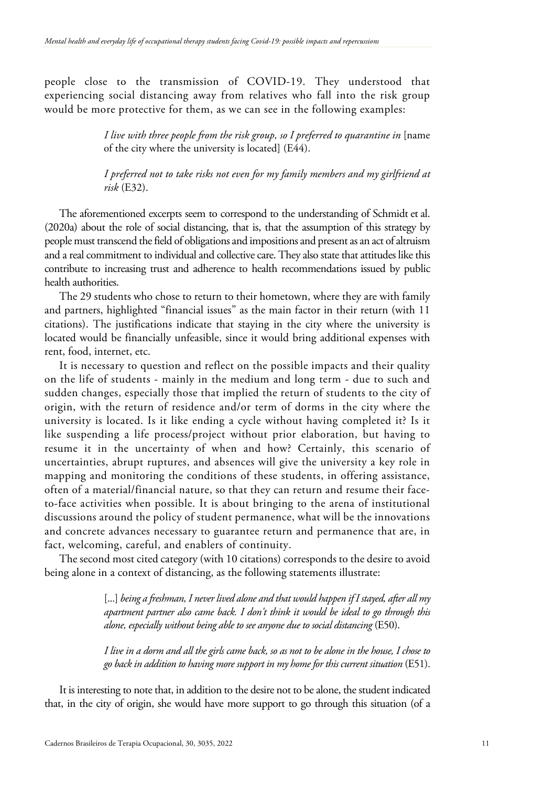people close to the transmission of COVID-19. They understood that experiencing social distancing away from relatives who fall into the risk group would be more protective for them, as we can see in the following examples:

> *I live with three people from the risk group, so I preferred to quarantine in* [name of the city where the university is located] (E44).

> *I preferred not to take risks not even for my family members and my girlfriend at risk* (E32).

The aforementioned excerpts seem to correspond to the understanding of Schmidt et al. (2020a) about the role of social distancing, that is, that the assumption of this strategy by people must transcend the field of obligations and impositions and present as an act of altruism and a real commitment to individual and collective care. They also state that attitudes like this contribute to increasing trust and adherence to health recommendations issued by public health authorities.

The 29 students who chose to return to their hometown, where they are with family and partners, highlighted "financial issues" as the main factor in their return (with 11 citations). The justifications indicate that staying in the city where the university is located would be financially unfeasible, since it would bring additional expenses with rent, food, internet, etc.

It is necessary to question and reflect on the possible impacts and their quality on the life of students - mainly in the medium and long term - due to such and sudden changes, especially those that implied the return of students to the city of origin, with the return of residence and/or term of dorms in the city where the university is located. Is it like ending a cycle without having completed it? Is it like suspending a life process/project without prior elaboration, but having to resume it in the uncertainty of when and how? Certainly, this scenario of uncertainties, abrupt ruptures, and absences will give the university a key role in mapping and monitoring the conditions of these students, in offering assistance, often of a material/financial nature, so that they can return and resume their faceto-face activities when possible. It is about bringing to the arena of institutional discussions around the policy of student permanence, what will be the innovations and concrete advances necessary to guarantee return and permanence that are, in fact, welcoming, careful, and enablers of continuity.

The second most cited category (with 10 citations) corresponds to the desire to avoid being alone in a context of distancing, as the following statements illustrate:

> [...] *being a freshman, I never lived alone and that would happen if I stayed, after all my apartment partner also came back. I don't think it would be ideal to go through this alone, especially without being able to see anyone due to social distancing* (E50).

> *I live in a dorm and all the girls came back, so as not to be alone in the house, I chose to go back in addition to having more support in my home for this current situation* (E51).

It is interesting to note that, in addition to the desire not to be alone, the student indicated that, in the city of origin, she would have more support to go through this situation (of a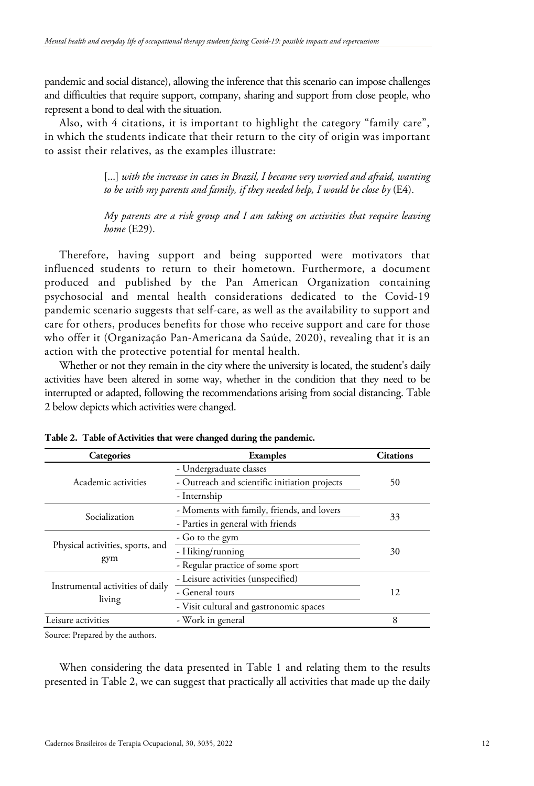pandemic and social distance), allowing the inference that this scenario can impose challenges and difficulties that require support, company, sharing and support from close people, who represent a bond to deal with the situation.

Also, with 4 citations, it is important to highlight the category "family care", in which the students indicate that their return to the city of origin was important to assist their relatives, as the examples illustrate:

> [...] with the increase in cases in Brazil, I became very worried and afraid, wanting *to be with my parents and family, if they needed help, I would be close by* (E4).

> *My parents are a risk group and I am taking on activities that require leaving home* (E29).

Therefore, having support and being supported were motivators that influenced students to return to their hometown. Furthermore, a document produced and published by the Pan American Organization containing psychosocial and mental health considerations dedicated to the Covid-19 pandemic scenario suggests that self-care, as well as the availability to support and care for others, produces benefits for those who receive support and care for those who offer it (Organização Pan-Americana da Saúde, 2020), revealing that it is an action with the protective potential for mental health.

Whether or not they remain in the city where the university is located, the student's daily activities have been altered in some way, whether in the condition that they need to be interrupted or adapted, following the recommendations arising from social distancing. Table 2 below depicts which activities were changed.

| <b>Categories</b>                          | <b>Examples</b>                               | <b>Citations</b> |
|--------------------------------------------|-----------------------------------------------|------------------|
| Academic activities                        | - Undergraduate classes                       | 50               |
|                                            | - Outreach and scientific initiation projects |                  |
|                                            | - Internship                                  |                  |
| Socialization                              | - Moments with family, friends, and lovers    | 33               |
|                                            | - Parties in general with friends             |                  |
| Physical activities, sports, and<br>gym    | - Go to the gym                               | 30               |
|                                            | - Hiking/running                              |                  |
|                                            | - Regular practice of some sport              |                  |
| Instrumental activities of daily<br>living | - Leisure activities (unspecified)            | 12               |
|                                            | - General tours                               |                  |
|                                            | - Visit cultural and gastronomic spaces       |                  |
| Leisure activities                         | - Work in general                             | 8                |

**Table 2. Table of Activities that were changed during the pandemic.**

Source: Prepared by the authors.

When considering the data presented in Table 1 and relating them to the results presented in Table 2, we can suggest that practically all activities that made up the daily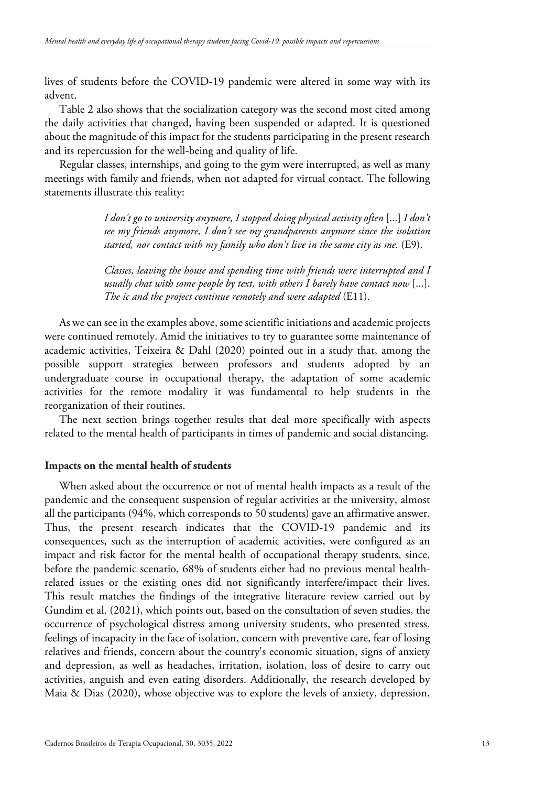lives of students before the COVID-19 pandemic were altered in some way with its advent.

Table 2 also shows that the socialization category was the second most cited among the daily activities that changed, having been suspended or adapted. It is questioned about the magnitude of this impact for the students participating in the present research and its repercussion for the well-being and quality of life.

Regular classes, internships, and going to the gym were interrupted, as well as many meetings with family and friends, when not adapted for virtual contact. The following statements illustrate this reality:

> *I don't go to university anymore, I stopped doing physical activity often* [...] *I don't see my friends anymore, I don't see my grandparents anymore since the isolation started, nor contact with my family who don't live in the same city as me.* (E9).

> *Classes, leaving the house and spending time with friends were interrupted and I usually chat with some people by text, with others I barely have contact now* [...]. *The ic and the project continue remotely and were adapted* (E11).

As we can see in the examples above, some scientific initiations and academic projects were continued remotely. Amid the initiatives to try to guarantee some maintenance of academic activities, Teixeira & Dahl (2020) pointed out in a study that, among the possible support strategies between professors and students adopted by an undergraduate course in occupational therapy, the adaptation of some academic activities for the remote modality it was fundamental to help students in the reorganization of their routines.

The next section brings together results that deal more specifically with aspects related to the mental health of participants in times of pandemic and social distancing.

## **Impacts on the mental health of students**

When asked about the occurrence or not of mental health impacts as a result of the pandemic and the consequent suspension of regular activities at the university, almost all the participants (94%, which corresponds to 50 students) gave an affirmative answer. Thus, the present research indicates that the COVID-19 pandemic and its consequences, such as the interruption of academic activities, were configured as an impact and risk factor for the mental health of occupational therapy students, since, before the pandemic scenario, 68% of students either had no previous mental healthrelated issues or the existing ones did not significantly interfere/impact their lives. This result matches the findings of the integrative literature review carried out by Gundim et al. (2021), which points out, based on the consultation of seven studies, the occurrence of psychological distress among university students, who presented stress, feelings of incapacity in the face of isolation, concern with preventive care, fear of losing relatives and friends, concern about the country's economic situation, signs of anxiety and depression, as well as headaches, irritation, isolation, loss of desire to carry out activities, anguish and even eating disorders. Additionally, the research developed by Maia & Dias (2020), whose objective was to explore the levels of anxiety, depression,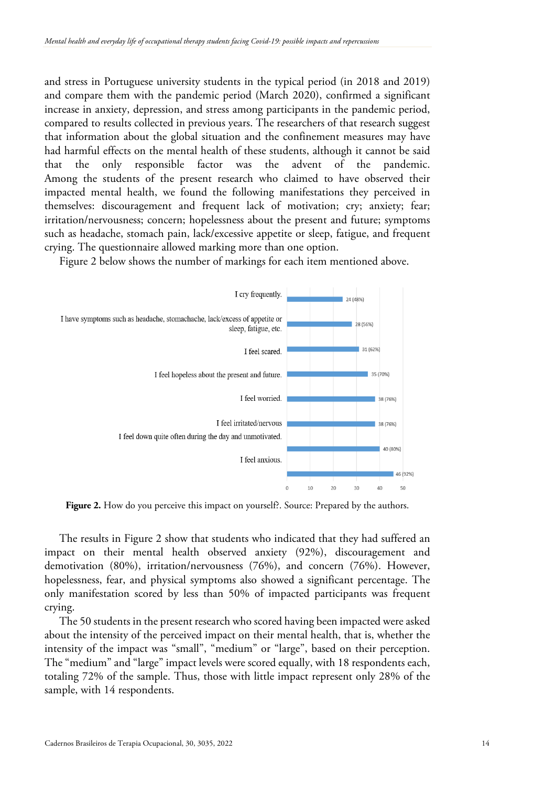and stress in Portuguese university students in the typical period (in 2018 and 2019) and compare them with the pandemic period (March 2020), confirmed a significant increase in anxiety, depression, and stress among participants in the pandemic period, compared to results collected in previous years. The researchers of that research suggest that information about the global situation and the confinement measures may have had harmful effects on the mental health of these students, although it cannot be said that the only responsible factor was the advent of the pandemic. Among the students of the present research who claimed to have observed their impacted mental health, we found the following manifestations they perceived in themselves: discouragement and frequent lack of motivation; cry; anxiety; fear; irritation/nervousness; concern; hopelessness about the present and future; symptoms such as headache, stomach pain, lack/excessive appetite or sleep, fatigue, and frequent crying. The questionnaire allowed marking more than one option.

Figure 2 below shows the number of markings for each item mentioned above.



Figure 2. How do you perceive this impact on yourself?. Source: Prepared by the authors.

The results in Figure 2 show that students who indicated that they had suffered an impact on their mental health observed anxiety (92%), discouragement and demotivation (80%), irritation/nervousness (76%), and concern (76%). However, hopelessness, fear, and physical symptoms also showed a significant percentage. The only manifestation scored by less than 50% of impacted participants was frequent crying.

The 50 students in the present research who scored having been impacted were asked about the intensity of the perceived impact on their mental health, that is, whether the intensity of the impact was "small", "medium" or "large", based on their perception. The "medium" and "large" impact levels were scored equally, with 18 respondents each, totaling 72% of the sample. Thus, those with little impact represent only 28% of the sample, with 14 respondents.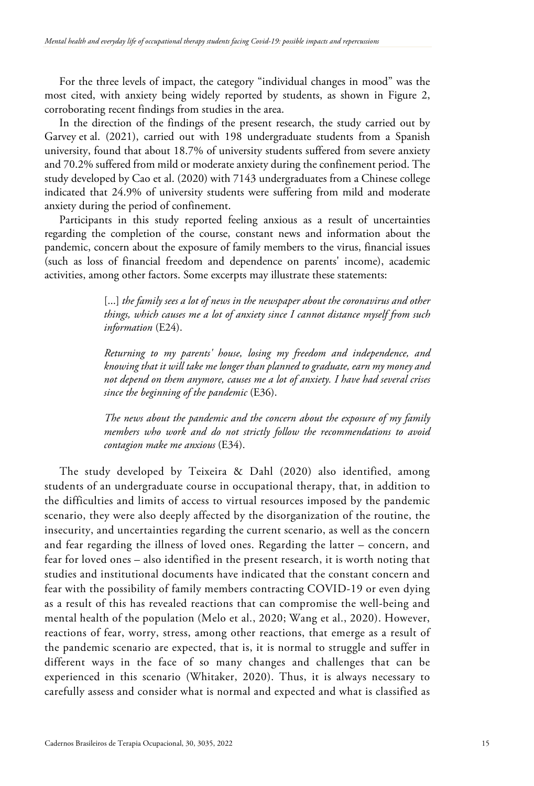For the three levels of impact, the category "individual changes in mood" was the most cited, with anxiety being widely reported by students, as shown in Figure 2, corroborating recent findings from studies in the area.

In the direction of the findings of the present research, the study carried out by Garvey et al. (2021), carried out with 198 undergraduate students from a Spanish university, found that about 18.7% of university students suffered from severe anxiety and 70.2% suffered from mild or moderate anxiety during the confinement period. The study developed by Cao et al. (2020) with 7143 undergraduates from a Chinese college indicated that 24.9% of university students were suffering from mild and moderate anxiety during the period of confinement.

Participants in this study reported feeling anxious as a result of uncertainties regarding the completion of the course, constant news and information about the pandemic, concern about the exposure of family members to the virus, financial issues (such as loss of financial freedom and dependence on parents' income), academic activities, among other factors. Some excerpts may illustrate these statements:

> [...] *the family sees a lot of news in the newspaper about the coronavirus and other things, which causes me a lot of anxiety since I cannot distance myself from such information* (E24).

> *Returning to my parents' house, losing my freedom and independence, and knowing that it will take me longer than planned to graduate, earn my money and not depend on them anymore, causes me a lot of anxiety. I have had several crises since the beginning of the pandemic* (E36).

> *The news about the pandemic and the concern about the exposure of my family members who work and do not strictly follow the recommendations to avoid contagion make me anxious* (E34).

The study developed by Teixeira & Dahl (2020) also identified, among students of an undergraduate course in occupational therapy, that, in addition to the difficulties and limits of access to virtual resources imposed by the pandemic scenario, they were also deeply affected by the disorganization of the routine, the insecurity, and uncertainties regarding the current scenario, as well as the concern and fear regarding the illness of loved ones. Regarding the latter – concern, and fear for loved ones – also identified in the present research, it is worth noting that studies and institutional documents have indicated that the constant concern and fear with the possibility of family members contracting COVID-19 or even dying as a result of this has revealed reactions that can compromise the well-being and mental health of the population (Melo et al., 2020; Wang et al., 2020). However, reactions of fear, worry, stress, among other reactions, that emerge as a result of the pandemic scenario are expected, that is, it is normal to struggle and suffer in different ways in the face of so many changes and challenges that can be experienced in this scenario (Whitaker, 2020). Thus, it is always necessary to carefully assess and consider what is normal and expected and what is classified as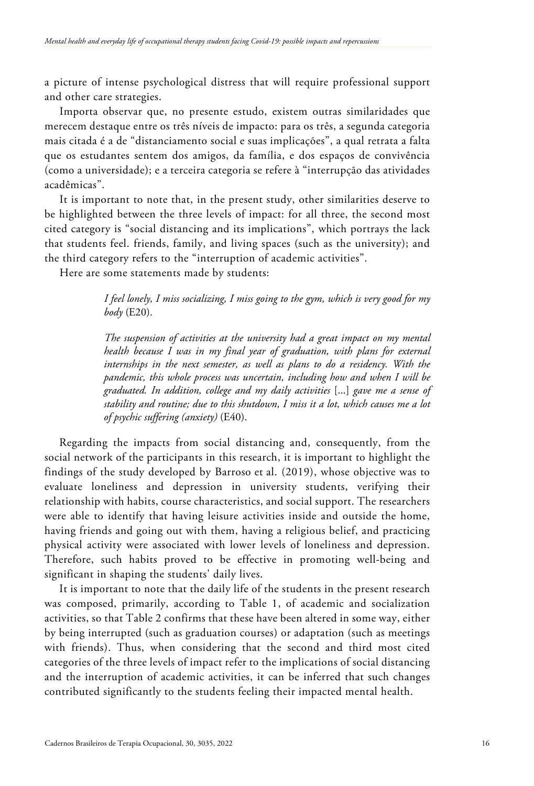a picture of intense psychological distress that will require professional support and other care strategies.

Importa observar que, no presente estudo, existem outras similaridades que merecem destaque entre os três níveis de impacto: para os três, a segunda categoria mais citada é a de "distanciamento social e suas implicações", a qual retrata a falta que os estudantes sentem dos amigos, da família, e dos espaços de convivência (como a universidade); e a terceira categoria se refere à "interrupção das atividades acadêmicas".

It is important to note that, in the present study, other similarities deserve to be highlighted between the three levels of impact: for all three, the second most cited category is "social distancing and its implications", which portrays the lack that students feel. friends, family, and living spaces (such as the university); and the third category refers to the "interruption of academic activities".

Here are some statements made by students:

*I feel lonely, I miss socializing, I miss going to the gym, which is very good for my body* (E20).

*The suspension of activities at the university had a great impact on my mental health because I was in my final year of graduation, with plans for external internships in the next semester, as well as plans to do a residency. With the pandemic, this whole process was uncertain, including how and when I will be graduated. In addition, college and my daily activities* [...] *gave me a sense of stability and routine; due to this shutdown, I miss it a lot, which causes me a lot of psychic suffering (anxiety)* (E40).

Regarding the impacts from social distancing and, consequently, from the social network of the participants in this research, it is important to highlight the findings of the study developed by Barroso et al. (2019), whose objective was to evaluate loneliness and depression in university students, verifying their relationship with habits, course characteristics, and social support. The researchers were able to identify that having leisure activities inside and outside the home, having friends and going out with them, having a religious belief, and practicing physical activity were associated with lower levels of loneliness and depression. Therefore, such habits proved to be effective in promoting well-being and significant in shaping the students' daily lives.

It is important to note that the daily life of the students in the present research was composed, primarily, according to Table 1, of academic and socialization activities, so that Table 2 confirms that these have been altered in some way, either by being interrupted (such as graduation courses) or adaptation (such as meetings with friends). Thus, when considering that the second and third most cited categories of the three levels of impact refer to the implications of social distancing and the interruption of academic activities, it can be inferred that such changes contributed significantly to the students feeling their impacted mental health.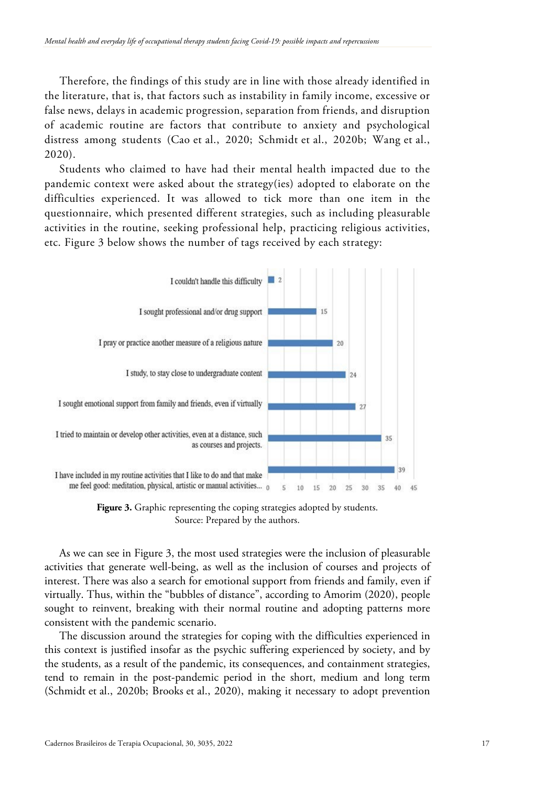Therefore, the findings of this study are in line with those already identified in the literature, that is, that factors such as instability in family income, excessive or false news, delays in academic progression, separation from friends, and disruption of academic routine are factors that contribute to anxiety and psychological distress among students (Cao et al., 2020; Schmidt et al., 2020b; Wang et al., 2020).

Students who claimed to have had their mental health impacted due to the pandemic context were asked about the strategy(ies) adopted to elaborate on the difficulties experienced. It was allowed to tick more than one item in the questionnaire, which presented different strategies, such as including pleasurable activities in the routine, seeking professional help, practicing religious activities, etc. Figure 3 below shows the number of tags received by each strategy:



Figure 3. Graphic representing the coping strategies adopted by students. Source: Prepared by the authors.

As we can see in Figure 3, the most used strategies were the inclusion of pleasurable activities that generate well-being, as well as the inclusion of courses and projects of interest. There was also a search for emotional support from friends and family, even if virtually. Thus, within the "bubbles of distance", according to Amorim (2020), people sought to reinvent, breaking with their normal routine and adopting patterns more consistent with the pandemic scenario.

The discussion around the strategies for coping with the difficulties experienced in this context is justified insofar as the psychic suffering experienced by society, and by the students, as a result of the pandemic, its consequences, and containment strategies, tend to remain in the post-pandemic period in the short, medium and long term (Schmidt et al., 2020b; Brooks et al., 2020), making it necessary to adopt prevention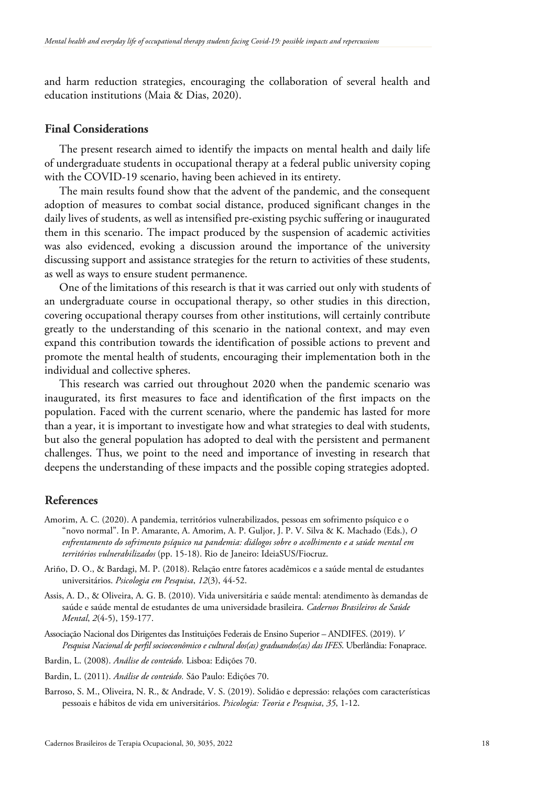and harm reduction strategies, encouraging the collaboration of several health and education institutions (Maia & Dias, 2020).

# **Final Considerations**

The present research aimed to identify the impacts on mental health and daily life of undergraduate students in occupational therapy at a federal public university coping with the COVID-19 scenario, having been achieved in its entirety.

The main results found show that the advent of the pandemic, and the consequent adoption of measures to combat social distance, produced significant changes in the daily lives of students, as well as intensified pre-existing psychic suffering or inaugurated them in this scenario. The impact produced by the suspension of academic activities was also evidenced, evoking a discussion around the importance of the university discussing support and assistance strategies for the return to activities of these students, as well as ways to ensure student permanence.

One of the limitations of this research is that it was carried out only with students of an undergraduate course in occupational therapy, so other studies in this direction, covering occupational therapy courses from other institutions, will certainly contribute greatly to the understanding of this scenario in the national context, and may even expand this contribution towards the identification of possible actions to prevent and promote the mental health of students, encouraging their implementation both in the individual and collective spheres.

This research was carried out throughout 2020 when the pandemic scenario was inaugurated, its first measures to face and identification of the first impacts on the population. Faced with the current scenario, where the pandemic has lasted for more than a year, it is important to investigate how and what strategies to deal with students, but also the general population has adopted to deal with the persistent and permanent challenges. Thus, we point to the need and importance of investing in research that deepens the understanding of these impacts and the possible coping strategies adopted.

## **References**

- Amorim, A. C. (2020). A pandemia, territórios vulnerabilizados, pessoas em sofrimento psíquico e o "novo normal". In P. Amarante, A. Amorim, A. P. Guljor, J. P. V. Silva & K. Machado (Eds.), *O enfrentamento do sofrimento psíquico na pandemia: diálogos sobre o acolhimento e a saúde mental em territórios vulnerabilizados* (pp. 15-18). Rio de Janeiro: IdeiaSUS/Fiocruz.
- Ariño, D. O., & Bardagi, M. P. (2018). Relação entre fatores acadêmicos e a saúde mental de estudantes universitários. *Psicologia em Pesquisa*, *12*(3), 44-52.
- Assis, A. D., & Oliveira, A. G. B. (2010). Vida universitária e saúde mental: atendimento às demandas de saúde e saúde mental de estudantes de uma universidade brasileira. *Cadernos Brasileiros de Saúde Mental*, *2*(4-5), 159-177.
- Associação Nacional dos Dirigentes das Instituições Federais de Ensino Superior ANDIFES. (2019). *V Pesquisa Nacional de perfil socioeconômico e cultural dos(as) graduandos(as) das IFES*. Uberlândia: Fonaprace.
- Bardin, L. (2008). *Análise de conteúdo.* Lisboa: Edições 70.
- Bardin, L. (2011). *Análise de conteúdo.* São Paulo: Edições 70.
- <span id="page-17-0"></span>Barroso, S. M., Oliveira, N. R., & Andrade, V. S. (2019). Solidão e depressão: relações com características pessoais e hábitos de vida em universitários. *Psicologia: Teoria e Pesquisa*, *35*, 1-12.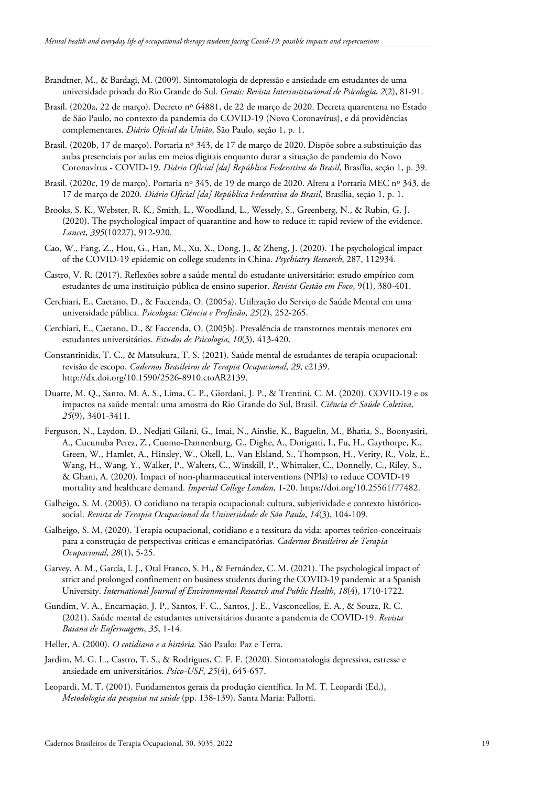- Brandtner, M., & Bardagi, M. (2009). Sintomatologia de depressão e ansiedade em estudantes de uma universidade privada do Rio Grande do Sul. *Gerais: Revista Interinstitucional de Psicologia*, *2*(2), 81-91.
- Brasil. (2020a, 22 de março). Decreto nº 64881, de 22 de março de 2020. Decreta quarentena no Estado de São Paulo, no contexto da pandemia do COVID-19 (Novo Coronavírus), e dá providências complementares. *Diário Oficial da União*, São Paulo, seção 1, p. 1.
- Brasil. (2020b, 17 de março). Portaria nº 343, de 17 de março de 2020. Dispõe sobre a substituição das aulas presenciais por aulas em meios digitais enquanto durar a situação de pandemia do Novo Coronavírus - COVID-19. *Diário Oficial [da] República Federativa do Brasil*, Brasília, seção 1, p. 39.
- Brasil. (2020c, 19 de março). Portaria nº 345, de 19 de março de 2020. Altera a Portaria MEC nº 343, de 17 de março de 2020. *Diário Oficial [da] República Federativa do Brasil*, Brasília, seção 1, p. 1.
- Brooks, S. K., Webster, R. K., Smith, L., Woodland, L., Wessely, S., Greenberg, N., & Rubin, G. J. (2020). The psychological impact of quarantine and how to reduce it: rapid review of the evidence. *Lancet*, *395*(10227), 912-920.
- Cao, W., Fang, Z., Hou, G., Han, M., Xu, X., Dong, J., & Zheng, J. (2020). The psychological impact of the COVID-19 epidemic on college students in China. *Psychiatry Research*, 287, 112934.
- Castro, V. R. (2017). Reflexões sobre a saúde mental do estudante universitário: estudo empírico com estudantes de uma instituição pública de ensino superior. *Revista Gestão em Foco*, 9(1), 380-401.
- Cerchiari, E., Caetano, D., & Faccenda, O. (2005a). Utilização do Serviço de Saúde Mental em uma universidade pública. *Psicologia: Ciência e Profissão*, *25*(2), 252-265.
- Cerchiari, E., Caetano, D., & Faccenda, O. (2005b). Prevalência de transtornos mentais menores em estudantes universitários. *Estudos de Psicologia*, *10*(3), 413-420.
- Constantinidis, T. C., & Matsukura, T. S. (2021). Saúde mental de estudantes de terapia ocupacional: revisão de escopo. *Cadernos Brasileiros de Terapia Ocupacional*, *29*, e2139. http://dx.doi.org/10.1590/2526-8910.ctoAR2139.
- Duarte, M. Q., Santo, M. A. S., Lima, C. P., Giordani, J. P., & Trentini, C. M. (2020). COVID-19 e os impactos na saúde mental: uma amostra do Rio Grande do Sul, Brasil. *Ciência & Saúde Coletiva, 25*(9), 3401-3411.
- Ferguson, N., Laydon, D., Nedjati Gilani, G., Imai, N., Ainslie, K., Baguelin, M., Bhatia, S., Boonyasiri, A., Cucunuba Perez, Z., Cuomo-Dannenburg, G., Dighe, A., Dorigatti, I., Fu, H., Gaythorpe, K., Green, W., Hamlet, A., Hinsley, W., Okell, L., Van Elsland, S., Thompson, H., Verity, R., Volz, E., Wang, H., Wang, Y., Walker, P., Walters, C., Winskill, P., Whittaker, C., Donnelly, C., Riley, S., & Ghani, A. (2020). Impact of non-pharmaceutical interventions (NPIs) to reduce COVID-19 mortality and healthcare demand. *Imperial College London*, 1-20. https://doi.org/10.25561/77482.
- Galheigo, S. M. (2003). O cotidiano na terapia ocupacional: cultura, subjetividade e contexto históricosocial. *Revista de Terapia Ocupacional da Universidade de São Paulo*, *14*(3), 104-109.
- Galheigo, S. M. (2020). Terapia ocupacional, cotidiano e a tessitura da vida: aportes teórico-conceituais para a construção de perspectivas críticas e emancipatórias. *Cadernos Brasileiros de Terapia Ocupacional*, *28*(1), 5-25.
- Garvey, A. M., García, I. J., Otal Franco, S. H., & Fernández, C. M. (2021). The psychological impact of strict and prolonged confinement on business students during the COVID-19 pandemic at a Spanish University. *International Journal of Environmental Research and Public Health*, *18*(4), 1710-1722.
- Gundim, V. A., Encarnação, J. P., Santos, F. C., Santos, J. E., Vasconcellos, E. A., & Souza, R. C. (2021). Saúde mental de estudantes universitários durante a pandemia de COVID-19. *Revista Baiana de Enfermagem*, *35*, 1-14.
- Heller, A. (2000). *O cotidiano e a história.* São Paulo: Paz e Terra.
- Jardim, M. G. L., Castro, T. S., & Rodrigues, C. F. F. (2020). Sintomatologia depressiva, estresse e ansiedade em universitários. *Psico-USF*, *25*(4), 645-657.
- Leopardi, M. T. (2001). Fundamentos gerais da produção científica. In M. T. Leopardi (Ed.), *Metodologia da pesquisa na saúde* (pp. 138-139). Santa Maria: Pallotti.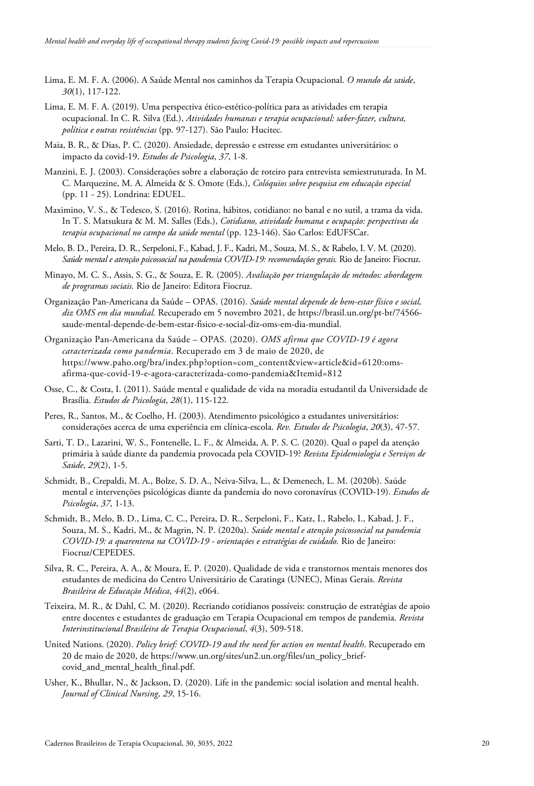- Lima, E. M. F. A. (2006). A Saúde Mental nos caminhos da Terapia Ocupacional. *O mundo da saúde*, *30*(1), 117-122.
- Lima, E. M. F. A. (2019). Uma perspectiva ético-estético-política para as atividades em terapia ocupacional. In C. R. Silva (Ed.), *Atividades humanas e terapia ocupacional: saber-fazer, cultura, política e outras resistências* (pp. 97-127). São Paulo: Hucitec.
- Maia, B. R., & Dias, P. C. (2020). Ansiedade, depressão e estresse em estudantes universitários: o impacto da covid-19. *Estudos de Psicologia*, *37*, 1-8.
- Manzini, E. J. (2003). Considerações sobre a elaboração de roteiro para entrevista semiestruturada. In M. C. Marquezine, M. A. Almeida & S. Omote (Eds.), *Colóquios sobre pesquisa em educação especial* (pp. 11 - 25). Londrina: EDUEL.
- Maximino, V. S., & Tedesco, S. (2016). Rotina, hábitos, cotidiano: no banal e no sutil, a trama da vida. In T. S. Matsukura & M. M. Salles (Eds.), *Cotidiano, atividade humana e ocupação: perspectivas da terapia ocupacional no campo da saúde mental* (pp. 123-146). São Carlos: EdUFSCar.
- Melo, B. D., Pereira, D. R., Serpeloni, F., Kabad, J. F., Kadri, M., Souza, M. S., & Rabelo, I. V. M. (2020). *Saúde mental e atenção psicossocial na pandemia COVID-19: recomendações gerais.* Rio de Janeiro: Fiocruz.
- Minayo, M. C. S., Assis, S. G., & Souza, E. R. (2005). *Avaliação por triangulação de métodos: abordagem de programas sociais.* Rio de Janeiro: Editora Fiocruz.
- Organização Pan-Americana da Saúde OPAS. (2016). *Saúde mental depende de bem-estar físico e social, diz OMS em dia mundial.* Recuperado em 5 novembro 2021, de https://brasil.un.org/pt-br/74566 saude-mental-depende-de-bem-estar-fisico-e-social-diz-oms-em-dia-mundial.
- Organização Pan-Americana da Saúde OPAS. (2020). *OMS afirma que COVID-19 é agora caracterizada como pandemia*. Recuperado em 3 de maio de 2020, de https://www.paho.org/bra/index.php?option=com\_content&view=article&id=6120:omsafirma-que-covid-19-e-agora-caracterizada-como-pandemia&Itemid=812
- Osse, C., & Costa, I. (2011). Saúde mental e qualidade de vida na moradia estudantil da Universidade de Brasília. *Estudos de Psicologia*, *28*(1), 115-122.
- Peres, R., Santos, M., & Coelho, H. (2003). Atendimento psicológico a estudantes universitários: considerações acerca de uma experiência em clínica-escola. *Rev. Estudos de Psicologia*, *20*(3), 47-57.
- Sarti, T. D., Lazarini, W. S., Fontenelle, L. F., & Almeida, A. P. S. C. (2020). Qual o papel da atenção primária à saúde diante da pandemia provocada pela COVID-19? *Revista Epidemiologia e Serviços de Saúde*, *29*(2), 1-5.
- Schmidt, B., Crepaldi, M. A., Bolze, S. D. A., Neiva-Silva, L., & Demenech, L. M. (2020b). Saúde mental e intervenções psicológicas diante da pandemia do novo coronavírus (COVID-19). *Estudos de Psicologia*, *37*, 1-13.
- Schmidt, B., Melo, B. D., Lima, C. C., Pereira, D. R., Serpeloni, F., Katz, I., Rabelo, I., Kabad, J. F., Souza, M. S., Kadri, M., & Magrin, N. P. (2020a). *Saúde mental e atenção psicossocial na pandemia COVID-19: a quarentena na COVID-19 - orientações e estratégias de cuidado.* Rio de Janeiro: Fiocruz/CEPEDES.
- Silva, R. C., Pereira, A. A., & Moura, E. P. (2020). Qualidade de vida e transtornos mentais menores dos estudantes de medicina do Centro Universitário de Caratinga (UNEC), Minas Gerais. *Revista Brasileira de Educação Médica*, *44*(2), e064.
- Teixeira, M. R., & Dahl, C. M. (2020). Recriando cotidianos possíveis: construção de estratégias de apoio entre docentes e estudantes de graduação em Terapia Ocupacional em tempos de pandemia. *Revista Interinstitucional Brasileira de Terapia Ocupacional*, *4*(3), 509-518.
- United Nations. (2020). *Policy brief: COVID-19 and the need for action on mental health*. Recuperado em 20 de maio de 2020, de https://www.un.org/sites/un2.un.org/files/un\_policy\_briefcovid\_and\_mental\_health\_final.pdf.
- Usher, K., Bhullar, N., & Jackson, D. (2020). Life in the pandemic: social isolation and mental health. *Journal of Clinical Nursing*, *29*, 15-16.